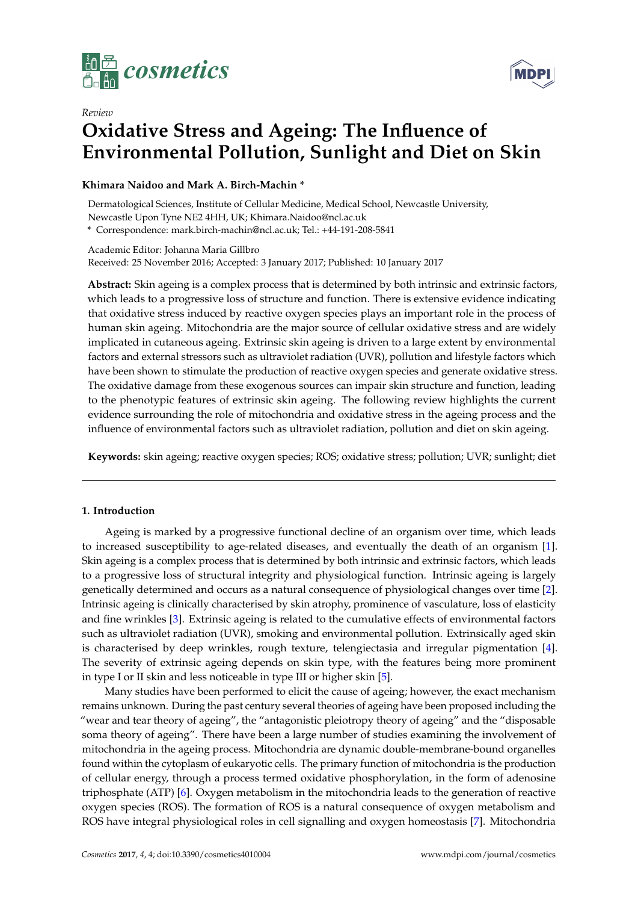



# *Review* **Oxidative Stress and Ageing: The Influence of Environmental Pollution, Sunlight and Diet on Skin**

**Khimara Naidoo and Mark A. Birch-Machin \***

Dermatological Sciences, Institute of Cellular Medicine, Medical School, Newcastle University, Newcastle Upon Tyne NE2 4HH, UK; Khimara.Naidoo@ncl.ac.uk

**\*** Correspondence: mark.birch-machin@ncl.ac.uk; Tel.: +44-191-208-5841

Academic Editor: Johanna Maria Gillbro Received: 25 November 2016; Accepted: 3 January 2017; Published: 10 January 2017

**Abstract:** Skin ageing is a complex process that is determined by both intrinsic and extrinsic factors, which leads to a progressive loss of structure and function. There is extensive evidence indicating that oxidative stress induced by reactive oxygen species plays an important role in the process of human skin ageing. Mitochondria are the major source of cellular oxidative stress and are widely implicated in cutaneous ageing. Extrinsic skin ageing is driven to a large extent by environmental factors and external stressors such as ultraviolet radiation (UVR), pollution and lifestyle factors which have been shown to stimulate the production of reactive oxygen species and generate oxidative stress. The oxidative damage from these exogenous sources can impair skin structure and function, leading to the phenotypic features of extrinsic skin ageing. The following review highlights the current evidence surrounding the role of mitochondria and oxidative stress in the ageing process and the influence of environmental factors such as ultraviolet radiation, pollution and diet on skin ageing.

**Keywords:** skin ageing; reactive oxygen species; ROS; oxidative stress; pollution; UVR; sunlight; diet

## **1. Introduction**

Ageing is marked by a progressive functional decline of an organism over time, which leads to increased susceptibility to age-related diseases, and eventually the death of an organism [\[1\]](#page-5-0). Skin ageing is a complex process that is determined by both intrinsic and extrinsic factors, which leads to a progressive loss of structural integrity and physiological function. Intrinsic ageing is largely genetically determined and occurs as a natural consequence of physiological changes over time [\[2\]](#page-5-1). Intrinsic ageing is clinically characterised by skin atrophy, prominence of vasculature, loss of elasticity and fine wrinkles [\[3\]](#page-5-2). Extrinsic ageing is related to the cumulative effects of environmental factors such as ultraviolet radiation (UVR), smoking and environmental pollution. Extrinsically aged skin is characterised by deep wrinkles, rough texture, telengiectasia and irregular pigmentation [\[4\]](#page-5-3). The severity of extrinsic ageing depends on skin type, with the features being more prominent in type I or II skin and less noticeable in type III or higher skin [\[5\]](#page-5-4).

Many studies have been performed to elicit the cause of ageing; however, the exact mechanism remains unknown. During the past century several theories of ageing have been proposed including the "wear and tear theory of ageing", the "antagonistic pleiotropy theory of ageing" and the "disposable soma theory of ageing". There have been a large number of studies examining the involvement of mitochondria in the ageing process. Mitochondria are dynamic double-membrane-bound organelles found within the cytoplasm of eukaryotic cells. The primary function of mitochondria is the production of cellular energy, through a process termed oxidative phosphorylation, in the form of adenosine triphosphate (ATP) [\[6\]](#page-5-5). Oxygen metabolism in the mitochondria leads to the generation of reactive oxygen species (ROS). The formation of ROS is a natural consequence of oxygen metabolism and ROS have integral physiological roles in cell signalling and oxygen homeostasis [\[7\]](#page-5-6). Mitochondria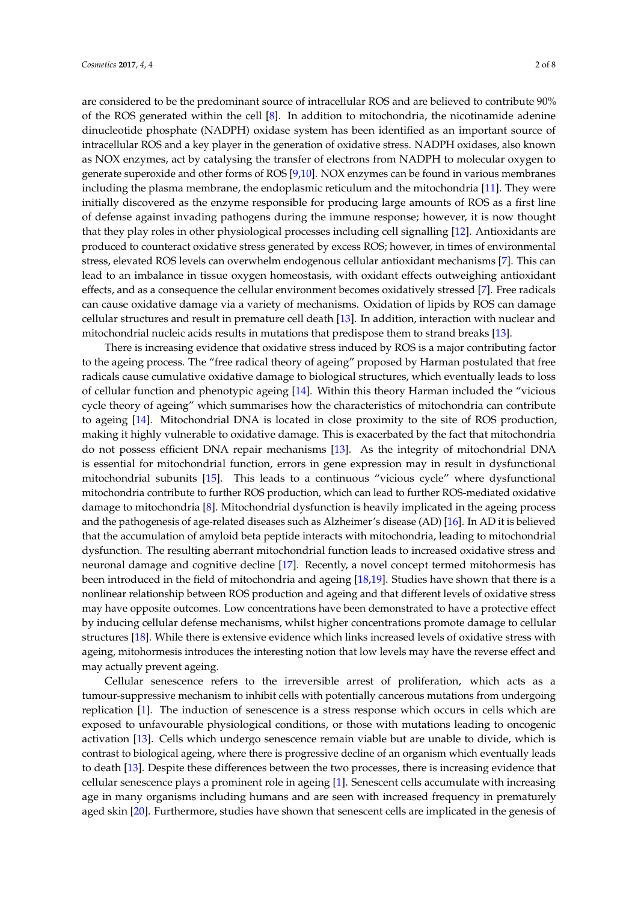are considered to be the predominant source of intracellular ROS and are believed to contribute 90% of the ROS generated within the cell [\[8\]](#page-5-7). In addition to mitochondria, the nicotinamide adenine dinucleotide phosphate (NADPH) oxidase system has been identified as an important source of intracellular ROS and a key player in the generation of oxidative stress. NADPH oxidases, also known as NOX enzymes, act by catalysing the transfer of electrons from NADPH to molecular oxygen to generate superoxide and other forms of ROS [\[9](#page-5-8)[,10\]](#page-5-9). NOX enzymes can be found in various membranes including the plasma membrane, the endoplasmic reticulum and the mitochondria [\[11\]](#page-5-10). They were initially discovered as the enzyme responsible for producing large amounts of ROS as a first line of defense against invading pathogens during the immune response; however, it is now thought that they play roles in other physiological processes including cell signalling [\[12\]](#page-5-11). Antioxidants are produced to counteract oxidative stress generated by excess ROS; however, in times of environmental stress, elevated ROS levels can overwhelm endogenous cellular antioxidant mechanisms [\[7\]](#page-5-6). This can lead to an imbalance in tissue oxygen homeostasis, with oxidant effects outweighing antioxidant effects, and as a consequence the cellular environment becomes oxidatively stressed [\[7\]](#page-5-6). Free radicals can cause oxidative damage via a variety of mechanisms. Oxidation of lipids by ROS can damage cellular structures and result in premature cell death [\[13\]](#page-5-12). In addition, interaction with nuclear and mitochondrial nucleic acids results in mutations that predispose them to strand breaks [\[13\]](#page-5-12).

There is increasing evidence that oxidative stress induced by ROS is a major contributing factor to the ageing process. The "free radical theory of ageing" proposed by Harman postulated that free radicals cause cumulative oxidative damage to biological structures, which eventually leads to loss of cellular function and phenotypic ageing [\[14\]](#page-5-13). Within this theory Harman included the "vicious cycle theory of ageing" which summarises how the characteristics of mitochondria can contribute to ageing [\[14\]](#page-5-13). Mitochondrial DNA is located in close proximity to the site of ROS production, making it highly vulnerable to oxidative damage. This is exacerbated by the fact that mitochondria do not possess efficient DNA repair mechanisms [\[13\]](#page-5-12). As the integrity of mitochondrial DNA is essential for mitochondrial function, errors in gene expression may in result in dysfunctional mitochondrial subunits [\[15\]](#page-5-14). This leads to a continuous "vicious cycle" where dysfunctional mitochondria contribute to further ROS production, which can lead to further ROS-mediated oxidative damage to mitochondria [\[8\]](#page-5-7). Mitochondrial dysfunction is heavily implicated in the ageing process and the pathogenesis of age-related diseases such as Alzheimer's disease (AD) [\[16\]](#page-5-15). In AD it is believed that the accumulation of amyloid beta peptide interacts with mitochondria, leading to mitochondrial dysfunction. The resulting aberrant mitochondrial function leads to increased oxidative stress and neuronal damage and cognitive decline [\[17\]](#page-5-16). Recently, a novel concept termed mitohormesis has been introduced in the field of mitochondria and ageing [\[18,](#page-5-17)[19\]](#page-5-18). Studies have shown that there is a nonlinear relationship between ROS production and ageing and that different levels of oxidative stress may have opposite outcomes. Low concentrations have been demonstrated to have a protective effect by inducing cellular defense mechanisms, whilst higher concentrations promote damage to cellular structures [\[18\]](#page-5-17). While there is extensive evidence which links increased levels of oxidative stress with ageing, mitohormesis introduces the interesting notion that low levels may have the reverse effect and may actually prevent ageing.

Cellular senescence refers to the irreversible arrest of proliferation, which acts as a tumour-suppressive mechanism to inhibit cells with potentially cancerous mutations from undergoing replication [\[1\]](#page-5-0). The induction of senescence is a stress response which occurs in cells which are exposed to unfavourable physiological conditions, or those with mutations leading to oncogenic activation [\[13\]](#page-5-12). Cells which undergo senescence remain viable but are unable to divide, which is contrast to biological ageing, where there is progressive decline of an organism which eventually leads to death [\[13\]](#page-5-12). Despite these differences between the two processes, there is increasing evidence that cellular senescence plays a prominent role in ageing [\[1\]](#page-5-0). Senescent cells accumulate with increasing age in many organisms including humans and are seen with increased frequency in prematurely aged skin [\[20\]](#page-5-19). Furthermore, studies have shown that senescent cells are implicated in the genesis of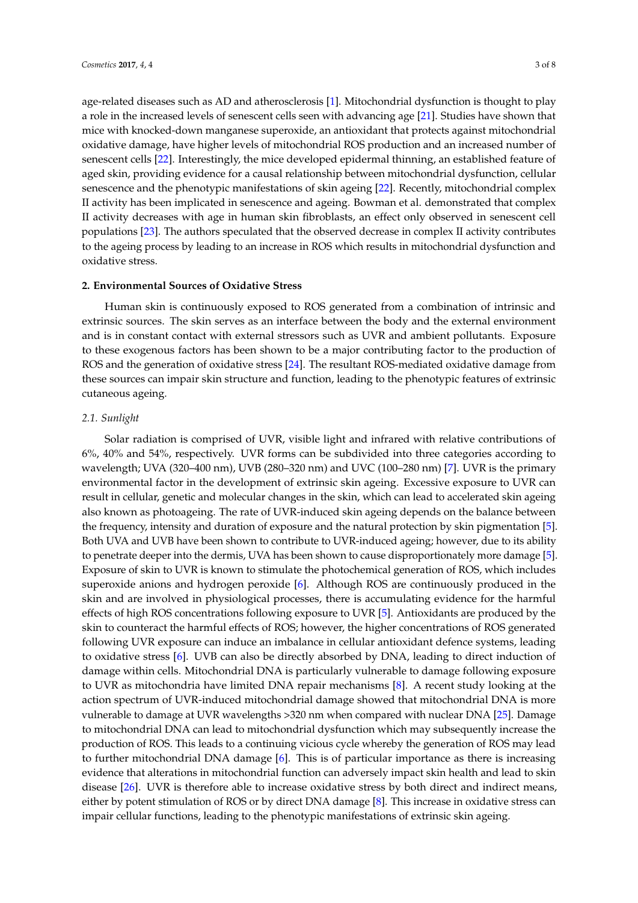age-related diseases such as AD and atherosclerosis [\[1\]](#page-5-0). Mitochondrial dysfunction is thought to play a role in the increased levels of senescent cells seen with advancing age [\[21\]](#page-5-20). Studies have shown that mice with knocked-down manganese superoxide, an antioxidant that protects against mitochondrial oxidative damage, have higher levels of mitochondrial ROS production and an increased number of senescent cells [\[22\]](#page-5-21). Interestingly, the mice developed epidermal thinning, an established feature of aged skin, providing evidence for a causal relationship between mitochondrial dysfunction, cellular senescence and the phenotypic manifestations of skin ageing [\[22\]](#page-5-21). Recently, mitochondrial complex II activity has been implicated in senescence and ageing. Bowman et al. demonstrated that complex II activity decreases with age in human skin fibroblasts, an effect only observed in senescent cell populations [\[23\]](#page-5-22). The authors speculated that the observed decrease in complex II activity contributes to the ageing process by leading to an increase in ROS which results in mitochondrial dysfunction and oxidative stress.

#### **2. Environmental Sources of Oxidative Stress**

Human skin is continuously exposed to ROS generated from a combination of intrinsic and extrinsic sources. The skin serves as an interface between the body and the external environment and is in constant contact with external stressors such as UVR and ambient pollutants. Exposure to these exogenous factors has been shown to be a major contributing factor to the production of ROS and the generation of oxidative stress [\[24\]](#page-5-23). The resultant ROS-mediated oxidative damage from these sources can impair skin structure and function, leading to the phenotypic features of extrinsic cutaneous ageing.

### *2.1. Sunlight*

Solar radiation is comprised of UVR, visible light and infrared with relative contributions of 6%, 40% and 54%, respectively. UVR forms can be subdivided into three categories according to wavelength; UVA (320–400 nm), UVB (280–320 nm) and UVC (100–280 nm) [\[7\]](#page-5-6). UVR is the primary environmental factor in the development of extrinsic skin ageing. Excessive exposure to UVR can result in cellular, genetic and molecular changes in the skin, which can lead to accelerated skin ageing also known as photoageing. The rate of UVR-induced skin ageing depends on the balance between the frequency, intensity and duration of exposure and the natural protection by skin pigmentation [\[5\]](#page-5-4). Both UVA and UVB have been shown to contribute to UVR-induced ageing; however, due to its ability to penetrate deeper into the dermis, UVA has been shown to cause disproportionately more damage [\[5\]](#page-5-4). Exposure of skin to UVR is known to stimulate the photochemical generation of ROS, which includes superoxide anions and hydrogen peroxide [\[6\]](#page-5-5). Although ROS are continuously produced in the skin and are involved in physiological processes, there is accumulating evidence for the harmful effects of high ROS concentrations following exposure to UVR [\[5\]](#page-5-4). Antioxidants are produced by the skin to counteract the harmful effects of ROS; however, the higher concentrations of ROS generated following UVR exposure can induce an imbalance in cellular antioxidant defence systems, leading to oxidative stress [\[6\]](#page-5-5). UVB can also be directly absorbed by DNA, leading to direct induction of damage within cells. Mitochondrial DNA is particularly vulnerable to damage following exposure to UVR as mitochondria have limited DNA repair mechanisms [\[8\]](#page-5-7). A recent study looking at the action spectrum of UVR-induced mitochondrial damage showed that mitochondrial DNA is more vulnerable to damage at UVR wavelengths >320 nm when compared with nuclear DNA [\[25\]](#page-6-0). Damage to mitochondrial DNA can lead to mitochondrial dysfunction which may subsequently increase the production of ROS. This leads to a continuing vicious cycle whereby the generation of ROS may lead to further mitochondrial DNA damage [\[6\]](#page-5-5). This is of particular importance as there is increasing evidence that alterations in mitochondrial function can adversely impact skin health and lead to skin disease [\[26\]](#page-6-1). UVR is therefore able to increase oxidative stress by both direct and indirect means, either by potent stimulation of ROS or by direct DNA damage [\[8\]](#page-5-7). This increase in oxidative stress can impair cellular functions, leading to the phenotypic manifestations of extrinsic skin ageing.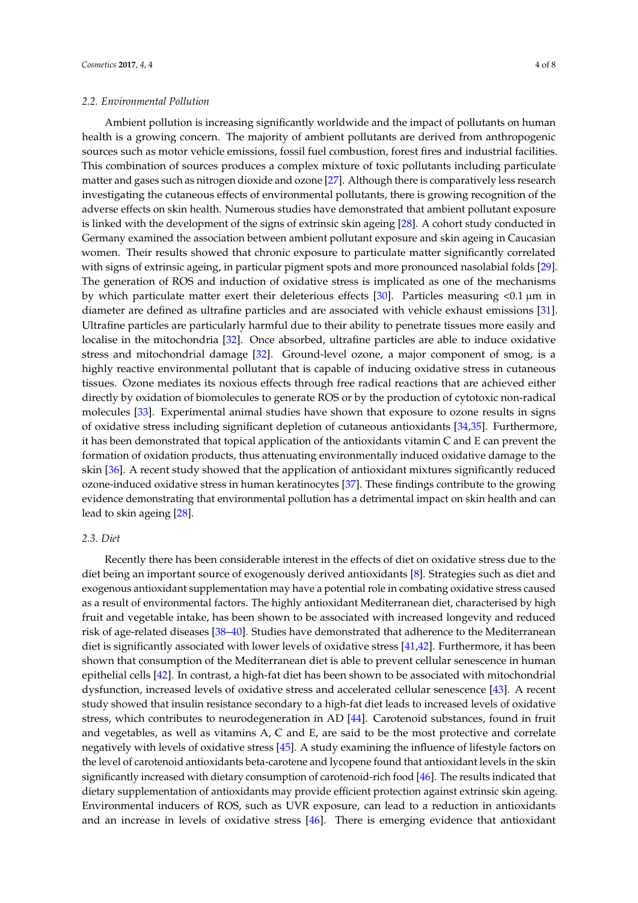### *2.2. Environmental Pollution*

Ambient pollution is increasing significantly worldwide and the impact of pollutants on human health is a growing concern. The majority of ambient pollutants are derived from anthropogenic sources such as motor vehicle emissions, fossil fuel combustion, forest fires and industrial facilities. This combination of sources produces a complex mixture of toxic pollutants including particulate matter and gases such as nitrogen dioxide and ozone [\[27\]](#page-6-2). Although there is comparatively less research investigating the cutaneous effects of environmental pollutants, there is growing recognition of the adverse effects on skin health. Numerous studies have demonstrated that ambient pollutant exposure is linked with the development of the signs of extrinsic skin ageing [\[28\]](#page-6-3). A cohort study conducted in Germany examined the association between ambient pollutant exposure and skin ageing in Caucasian women. Their results showed that chronic exposure to particulate matter significantly correlated with signs of extrinsic ageing, in particular pigment spots and more pronounced nasolabial folds [\[29\]](#page-6-4). The generation of ROS and induction of oxidative stress is implicated as one of the mechanisms by which particulate matter exert their deleterious effects [\[30\]](#page-6-5). Particles measuring  $< 0.1 \mu m$  in diameter are defined as ultrafine particles and are associated with vehicle exhaust emissions [\[31\]](#page-6-6). Ultrafine particles are particularly harmful due to their ability to penetrate tissues more easily and localise in the mitochondria [\[32\]](#page-6-7). Once absorbed, ultrafine particles are able to induce oxidative stress and mitochondrial damage [\[32\]](#page-6-7). Ground-level ozone, a major component of smog, is a highly reactive environmental pollutant that is capable of inducing oxidative stress in cutaneous tissues. Ozone mediates its noxious effects through free radical reactions that are achieved either directly by oxidation of biomolecules to generate ROS or by the production of cytotoxic non-radical molecules [\[33\]](#page-6-8). Experimental animal studies have shown that exposure to ozone results in signs of oxidative stress including significant depletion of cutaneous antioxidants [\[34](#page-6-9)[,35\]](#page-6-10). Furthermore, it has been demonstrated that topical application of the antioxidants vitamin C and E can prevent the formation of oxidation products, thus attenuating environmentally induced oxidative damage to the skin [\[36\]](#page-6-11). A recent study showed that the application of antioxidant mixtures significantly reduced ozone-induced oxidative stress in human keratinocytes [\[37\]](#page-6-12). These findings contribute to the growing evidence demonstrating that environmental pollution has a detrimental impact on skin health and can lead to skin ageing [\[28\]](#page-6-3).

#### *2.3. Diet*

Recently there has been considerable interest in the effects of diet on oxidative stress due to the diet being an important source of exogenously derived antioxidants [\[8\]](#page-5-7). Strategies such as diet and exogenous antioxidant supplementation may have a potential role in combating oxidative stress caused as a result of environmental factors. The highly antioxidant Mediterranean diet, characterised by high fruit and vegetable intake, has been shown to be associated with increased longevity and reduced risk of age-related diseases [\[38–](#page-6-13)[40\]](#page-6-14). Studies have demonstrated that adherence to the Mediterranean diet is significantly associated with lower levels of oxidative stress [\[41,](#page-6-15)[42\]](#page-6-16). Furthermore, it has been shown that consumption of the Mediterranean diet is able to prevent cellular senescence in human epithelial cells [\[42\]](#page-6-16). In contrast, a high-fat diet has been shown to be associated with mitochondrial dysfunction, increased levels of oxidative stress and accelerated cellular senescence [\[43\]](#page-6-17). A recent study showed that insulin resistance secondary to a high-fat diet leads to increased levels of oxidative stress, which contributes to neurodegeneration in AD [\[44\]](#page-6-18). Carotenoid substances, found in fruit and vegetables, as well as vitamins A, C and E, are said to be the most protective and correlate negatively with levels of oxidative stress [\[45\]](#page-6-19). A study examining the influence of lifestyle factors on the level of carotenoid antioxidants beta-carotene and lycopene found that antioxidant levels in the skin significantly increased with dietary consumption of carotenoid-rich food [\[46\]](#page-7-0). The results indicated that dietary supplementation of antioxidants may provide efficient protection against extrinsic skin ageing. Environmental inducers of ROS, such as UVR exposure, can lead to a reduction in antioxidants and an increase in levels of oxidative stress [\[46\]](#page-7-0). There is emerging evidence that antioxidant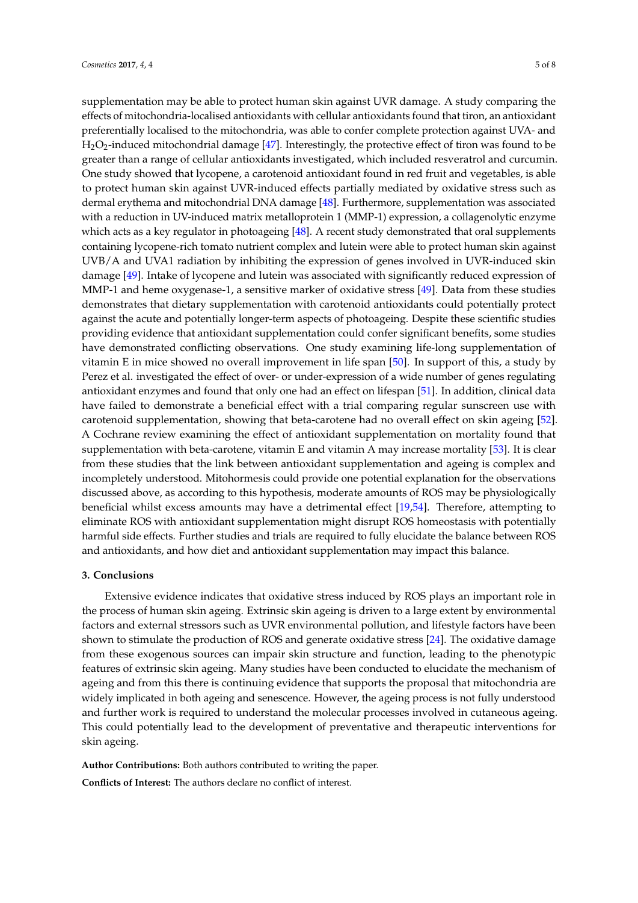supplementation may be able to protect human skin against UVR damage. A study comparing the effects of mitochondria-localised antioxidants with cellular antioxidants found that tiron, an antioxidant preferentially localised to the mitochondria, was able to confer complete protection against UVA- and H2O2-induced mitochondrial damage [\[47\]](#page-7-1). Interestingly, the protective effect of tiron was found to be greater than a range of cellular antioxidants investigated, which included resveratrol and curcumin. One study showed that lycopene, a carotenoid antioxidant found in red fruit and vegetables, is able to protect human skin against UVR-induced effects partially mediated by oxidative stress such as dermal erythema and mitochondrial DNA damage [\[48\]](#page-7-2). Furthermore, supplementation was associated with a reduction in UV-induced matrix metalloprotein 1 (MMP-1) expression, a collagenolytic enzyme which acts as a key regulator in photoageing [\[48\]](#page-7-2). A recent study demonstrated that oral supplements containing lycopene-rich tomato nutrient complex and lutein were able to protect human skin against UVB/A and UVA1 radiation by inhibiting the expression of genes involved in UVR-induced skin damage [\[49\]](#page-7-3). Intake of lycopene and lutein was associated with significantly reduced expression of MMP-1 and heme oxygenase-1, a sensitive marker of oxidative stress [\[49\]](#page-7-3). Data from these studies demonstrates that dietary supplementation with carotenoid antioxidants could potentially protect against the acute and potentially longer-term aspects of photoageing. Despite these scientific studies providing evidence that antioxidant supplementation could confer significant benefits, some studies have demonstrated conflicting observations. One study examining life-long supplementation of vitamin E in mice showed no overall improvement in life span [\[50\]](#page-7-4). In support of this, a study by Perez et al. investigated the effect of over- or under-expression of a wide number of genes regulating antioxidant enzymes and found that only one had an effect on lifespan [\[51\]](#page-7-5). In addition, clinical data have failed to demonstrate a beneficial effect with a trial comparing regular sunscreen use with carotenoid supplementation, showing that beta-carotene had no overall effect on skin ageing [\[52\]](#page-7-6). A Cochrane review examining the effect of antioxidant supplementation on mortality found that supplementation with beta-carotene, vitamin E and vitamin A may increase mortality [\[53\]](#page-7-7). It is clear from these studies that the link between antioxidant supplementation and ageing is complex and incompletely understood. Mitohormesis could provide one potential explanation for the observations discussed above, as according to this hypothesis, moderate amounts of ROS may be physiologically beneficial whilst excess amounts may have a detrimental effect [\[19,](#page-5-18)[54\]](#page-7-8). Therefore, attempting to eliminate ROS with antioxidant supplementation might disrupt ROS homeostasis with potentially harmful side effects. Further studies and trials are required to fully elucidate the balance between ROS and antioxidants, and how diet and antioxidant supplementation may impact this balance.

## **3. Conclusions**

Extensive evidence indicates that oxidative stress induced by ROS plays an important role in the process of human skin ageing. Extrinsic skin ageing is driven to a large extent by environmental factors and external stressors such as UVR environmental pollution, and lifestyle factors have been shown to stimulate the production of ROS and generate oxidative stress [\[24\]](#page-5-23). The oxidative damage from these exogenous sources can impair skin structure and function, leading to the phenotypic features of extrinsic skin ageing. Many studies have been conducted to elucidate the mechanism of ageing and from this there is continuing evidence that supports the proposal that mitochondria are widely implicated in both ageing and senescence. However, the ageing process is not fully understood and further work is required to understand the molecular processes involved in cutaneous ageing. This could potentially lead to the development of preventative and therapeutic interventions for skin ageing.

**Author Contributions:** Both authors contributed to writing the paper.

**Conflicts of Interest:** The authors declare no conflict of interest.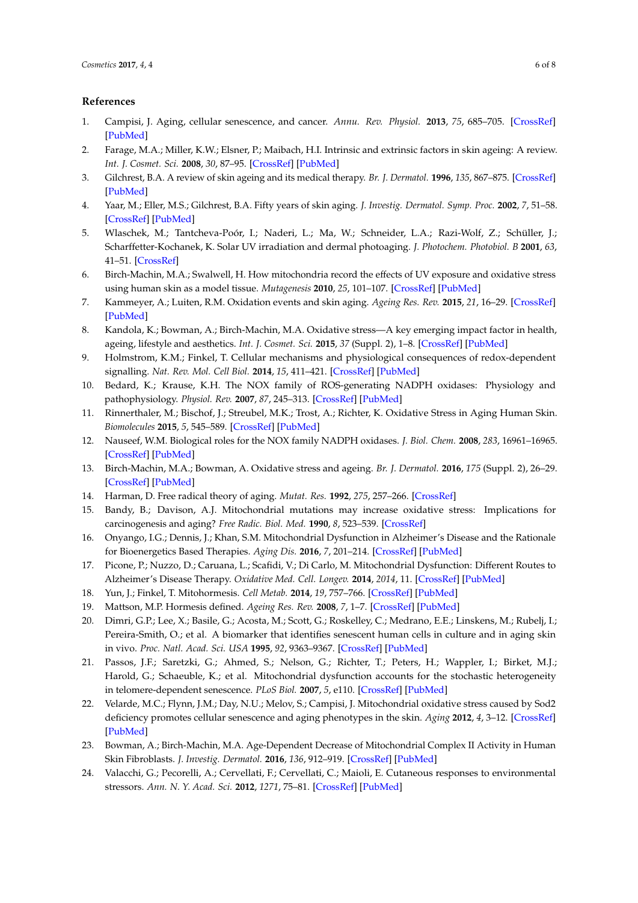## **References**

- <span id="page-5-0"></span>1. Campisi, J. Aging, cellular senescence, and cancer. *Annu. Rev. Physiol.* **2013**, *75*, 685–705. [\[CrossRef\]](http://dx.doi.org/10.1146/annurev-physiol-030212-183653) [\[PubMed\]](http://www.ncbi.nlm.nih.gov/pubmed/23140366)
- <span id="page-5-1"></span>2. Farage, M.A.; Miller, K.W.; Elsner, P.; Maibach, H.I. Intrinsic and extrinsic factors in skin ageing: A review. *Int. J. Cosmet. Sci.* **2008**, *30*, 87–95. [\[CrossRef\]](http://dx.doi.org/10.1111/j.1468-2494.2007.00415.x) [\[PubMed\]](http://www.ncbi.nlm.nih.gov/pubmed/18377617)
- <span id="page-5-2"></span>3. Gilchrest, B.A. A review of skin ageing and its medical therapy. *Br. J. Dermatol.* **1996**, *135*, 867–875. [\[CrossRef\]](http://dx.doi.org/10.1046/j.1365-2133.1996.d01-1088.x) [\[PubMed\]](http://www.ncbi.nlm.nih.gov/pubmed/8977705)
- <span id="page-5-3"></span>4. Yaar, M.; Eller, M.S.; Gilchrest, B.A. Fifty years of skin aging. *J. Investig. Dermatol. Symp. Proc.* **2002**, *7*, 51–58. [\[CrossRef\]](http://dx.doi.org/10.1046/j.1523-1747.2002.19636.x) [\[PubMed\]](http://www.ncbi.nlm.nih.gov/pubmed/12518793)
- <span id="page-5-4"></span>5. Wlaschek, M.; Tantcheva-Poór, I.; Naderi, L.; Ma, W.; Schneider, L.A.; Razi-Wolf, Z.; Schüller, J.; Scharffetter-Kochanek, K. Solar UV irradiation and dermal photoaging. *J. Photochem. Photobiol. B* **2001**, *63*, 41–51. [\[CrossRef\]](http://dx.doi.org/10.1016/S1011-1344(01)00201-9)
- <span id="page-5-5"></span>6. Birch-Machin, M.A.; Swalwell, H. How mitochondria record the effects of UV exposure and oxidative stress using human skin as a model tissue. *Mutagenesis* **2010**, *25*, 101–107. [\[CrossRef\]](http://dx.doi.org/10.1093/mutage/gep061) [\[PubMed\]](http://www.ncbi.nlm.nih.gov/pubmed/19955330)
- <span id="page-5-6"></span>7. Kammeyer, A.; Luiten, R.M. Oxidation events and skin aging. *Ageing Res. Rev.* **2015**, *21*, 16–29. [\[CrossRef\]](http://dx.doi.org/10.1016/j.arr.2015.01.001) [\[PubMed\]](http://www.ncbi.nlm.nih.gov/pubmed/25653189)
- <span id="page-5-7"></span>8. Kandola, K.; Bowman, A.; Birch-Machin, M.A. Oxidative stress—A key emerging impact factor in health, ageing, lifestyle and aesthetics. *Int. J. Cosmet. Sci.* **2015**, *37* (Suppl. 2), 1–8. [\[CrossRef\]](http://dx.doi.org/10.1111/ics.12287) [\[PubMed\]](http://www.ncbi.nlm.nih.gov/pubmed/26574299)
- <span id="page-5-8"></span>9. Holmstrom, K.M.; Finkel, T. Cellular mechanisms and physiological consequences of redox-dependent signalling. *Nat. Rev. Mol. Cell Biol.* **2014**, *15*, 411–421. [\[CrossRef\]](http://dx.doi.org/10.1038/nrm3801) [\[PubMed\]](http://www.ncbi.nlm.nih.gov/pubmed/24854789)
- <span id="page-5-9"></span>10. Bedard, K.; Krause, K.H. The NOX family of ROS-generating NADPH oxidases: Physiology and pathophysiology. *Physiol. Rev.* **2007**, *87*, 245–313. [\[CrossRef\]](http://dx.doi.org/10.1152/physrev.00044.2005) [\[PubMed\]](http://www.ncbi.nlm.nih.gov/pubmed/17237347)
- <span id="page-5-10"></span>11. Rinnerthaler, M.; Bischof, J.; Streubel, M.K.; Trost, A.; Richter, K. Oxidative Stress in Aging Human Skin. *Biomolecules* **2015**, *5*, 545–589. [\[CrossRef\]](http://dx.doi.org/10.3390/biom5020545) [\[PubMed\]](http://www.ncbi.nlm.nih.gov/pubmed/25906193)
- <span id="page-5-11"></span>12. Nauseef, W.M. Biological roles for the NOX family NADPH oxidases. *J. Biol. Chem.* **2008**, *283*, 16961–16965. [\[CrossRef\]](http://dx.doi.org/10.1074/jbc.R700045200) [\[PubMed\]](http://www.ncbi.nlm.nih.gov/pubmed/18420576)
- <span id="page-5-12"></span>13. Birch-Machin, M.A.; Bowman, A. Oxidative stress and ageing. *Br. J. Dermatol.* **2016**, *175* (Suppl. 2), 26–29. [\[CrossRef\]](http://dx.doi.org/10.1111/bjd.14906) [\[PubMed\]](http://www.ncbi.nlm.nih.gov/pubmed/27667312)
- <span id="page-5-14"></span><span id="page-5-13"></span>14. Harman, D. Free radical theory of aging. *Mutat. Res.* **1992**, *275*, 257–266. [\[CrossRef\]](http://dx.doi.org/10.1016/0921-8734(92)90030-S)
- 15. Bandy, B.; Davison, A.J. Mitochondrial mutations may increase oxidative stress: Implications for carcinogenesis and aging? *Free Radic. Biol. Med.* **1990**, *8*, 523–539. [\[CrossRef\]](http://dx.doi.org/10.1016/0891-5849(90)90152-9)
- <span id="page-5-15"></span>16. Onyango, I.G.; Dennis, J.; Khan, S.M. Mitochondrial Dysfunction in Alzheimer's Disease and the Rationale for Bioenergetics Based Therapies. *Aging Dis.* **2016**, *7*, 201–214. [\[CrossRef\]](http://dx.doi.org/10.14336/AD.2015.1007) [\[PubMed\]](http://www.ncbi.nlm.nih.gov/pubmed/27114851)
- <span id="page-5-16"></span>17. Picone, P.; Nuzzo, D.; Caruana, L.; Scafidi, V.; Di Carlo, M. Mitochondrial Dysfunction: Different Routes to Alzheimer's Disease Therapy. *Oxidative Med. Cell. Longev.* **2014**, *2014*, 11. [\[CrossRef\]](http://dx.doi.org/10.1155/2014/780179) [\[PubMed\]](http://www.ncbi.nlm.nih.gov/pubmed/25221640)
- <span id="page-5-17"></span>18. Yun, J.; Finkel, T. Mitohormesis. *Cell Metab.* **2014**, *19*, 757–766. [\[CrossRef\]](http://dx.doi.org/10.1016/j.cmet.2014.01.011) [\[PubMed\]](http://www.ncbi.nlm.nih.gov/pubmed/24561260)
- <span id="page-5-18"></span>19. Mattson, M.P. Hormesis defined. *Ageing Res. Rev.* **2008**, *7*, 1–7. [\[CrossRef\]](http://dx.doi.org/10.1016/j.arr.2007.08.007) [\[PubMed\]](http://www.ncbi.nlm.nih.gov/pubmed/18162444)
- <span id="page-5-19"></span>20. Dimri, G.P.; Lee, X.; Basile, G.; Acosta, M.; Scott, G.; Roskelley, C.; Medrano, E.E.; Linskens, M.; Rubelj, I.; Pereira-Smith, O.; et al. A biomarker that identifies senescent human cells in culture and in aging skin in vivo. *Proc. Natl. Acad. Sci. USA* **1995**, *92*, 9363–9367. [\[CrossRef\]](http://dx.doi.org/10.1073/pnas.92.20.9363) [\[PubMed\]](http://www.ncbi.nlm.nih.gov/pubmed/7568133)
- <span id="page-5-20"></span>21. Passos, J.F.; Saretzki, G.; Ahmed, S.; Nelson, G.; Richter, T.; Peters, H.; Wappler, I.; Birket, M.J.; Harold, G.; Schaeuble, K.; et al. Mitochondrial dysfunction accounts for the stochastic heterogeneity in telomere-dependent senescence. *PLoS Biol.* **2007**, *5*, e110. [\[CrossRef\]](http://dx.doi.org/10.1371/journal.pbio.0050110) [\[PubMed\]](http://www.ncbi.nlm.nih.gov/pubmed/17472436)
- <span id="page-5-21"></span>22. Velarde, M.C.; Flynn, J.M.; Day, N.U.; Melov, S.; Campisi, J. Mitochondrial oxidative stress caused by Sod2 deficiency promotes cellular senescence and aging phenotypes in the skin. *Aging* **2012**, *4*, 3–12. [\[CrossRef\]](http://dx.doi.org/10.18632/aging.100423) [\[PubMed\]](http://www.ncbi.nlm.nih.gov/pubmed/22278880)
- <span id="page-5-22"></span>23. Bowman, A.; Birch-Machin, M.A. Age-Dependent Decrease of Mitochondrial Complex II Activity in Human Skin Fibroblasts. *J. Investig. Dermatol.* **2016**, *136*, 912–919. [\[CrossRef\]](http://dx.doi.org/10.1016/j.jid.2016.01.017) [\[PubMed\]](http://www.ncbi.nlm.nih.gov/pubmed/26829036)
- <span id="page-5-23"></span>24. Valacchi, G.; Pecorelli, A.; Cervellati, F.; Cervellati, C.; Maioli, E. Cutaneous responses to environmental stressors. *Ann. N. Y. Acad. Sci.* **2012**, *1271*, 75–81. [\[CrossRef\]](http://dx.doi.org/10.1111/j.1749-6632.2012.06724.x) [\[PubMed\]](http://www.ncbi.nlm.nih.gov/pubmed/23050967)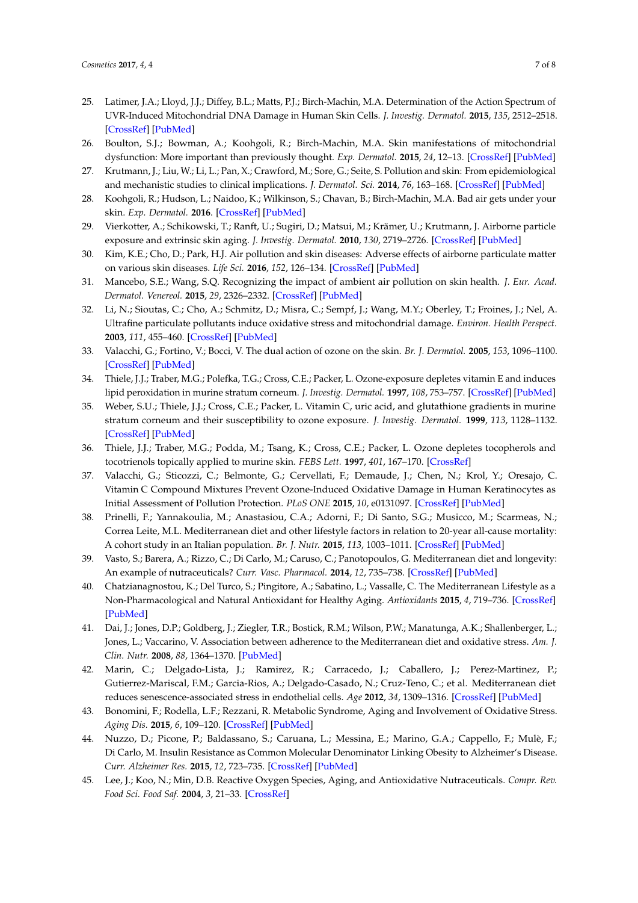- <span id="page-6-0"></span>25. Latimer, J.A.; Lloyd, J.J.; Diffey, B.L.; Matts, P.J.; Birch-Machin, M.A. Determination of the Action Spectrum of UVR-Induced Mitochondrial DNA Damage in Human Skin Cells. *J. Investig. Dermatol.* **2015**, *135*, 2512–2518. [\[CrossRef\]](http://dx.doi.org/10.1038/jid.2015.194) [\[PubMed\]](http://www.ncbi.nlm.nih.gov/pubmed/26030182)
- <span id="page-6-1"></span>26. Boulton, S.J.; Bowman, A.; Koohgoli, R.; Birch-Machin, M.A. Skin manifestations of mitochondrial dysfunction: More important than previously thought. *Exp. Dermatol.* **2015**, *24*, 12–13. [\[CrossRef\]](http://dx.doi.org/10.1111/exd.12597) [\[PubMed\]](http://www.ncbi.nlm.nih.gov/pubmed/25403780)
- <span id="page-6-2"></span>27. Krutmann, J.; Liu, W.; Li, L.; Pan, X.; Crawford, M.; Sore, G.; Seite, S. Pollution and skin: From epidemiological and mechanistic studies to clinical implications. *J. Dermatol. Sci.* **2014**, *76*, 163–168. [\[CrossRef\]](http://dx.doi.org/10.1016/j.jdermsci.2014.08.008) [\[PubMed\]](http://www.ncbi.nlm.nih.gov/pubmed/25278222)
- <span id="page-6-3"></span>28. Koohgoli, R.; Hudson, L.; Naidoo, K.; Wilkinson, S.; Chavan, B.; Birch-Machin, M.A. Bad air gets under your skin. *Exp. Dermatol.* **2016**. [\[CrossRef\]](http://dx.doi.org/10.1111/exd.13257) [\[PubMed\]](http://www.ncbi.nlm.nih.gov/pubmed/27892609)
- <span id="page-6-4"></span>29. Vierkotter, A.; Schikowski, T.; Ranft, U.; Sugiri, D.; Matsui, M.; Krämer, U.; Krutmann, J. Airborne particle exposure and extrinsic skin aging. *J. Investig. Dermatol.* **2010**, *130*, 2719–2726. [\[CrossRef\]](http://dx.doi.org/10.1038/jid.2010.204) [\[PubMed\]](http://www.ncbi.nlm.nih.gov/pubmed/20664556)
- <span id="page-6-5"></span>30. Kim, K.E.; Cho, D.; Park, H.J. Air pollution and skin diseases: Adverse effects of airborne particulate matter on various skin diseases. *Life Sci.* **2016**, *152*, 126–134. [\[CrossRef\]](http://dx.doi.org/10.1016/j.lfs.2016.03.039) [\[PubMed\]](http://www.ncbi.nlm.nih.gov/pubmed/27018067)
- <span id="page-6-6"></span>31. Mancebo, S.E.; Wang, S.Q. Recognizing the impact of ambient air pollution on skin health. *J. Eur. Acad. Dermatol. Venereol.* **2015**, *29*, 2326–2332. [\[CrossRef\]](http://dx.doi.org/10.1111/jdv.13250) [\[PubMed\]](http://www.ncbi.nlm.nih.gov/pubmed/26289769)
- <span id="page-6-7"></span>32. Li, N.; Sioutas, C.; Cho, A.; Schmitz, D.; Misra, C.; Sempf, J.; Wang, M.Y.; Oberley, T.; Froines, J.; Nel, A. Ultrafine particulate pollutants induce oxidative stress and mitochondrial damage. *Environ. Health Perspect.* **2003**, *111*, 455–460. [\[CrossRef\]](http://dx.doi.org/10.1289/ehp.6000) [\[PubMed\]](http://www.ncbi.nlm.nih.gov/pubmed/12676598)
- <span id="page-6-8"></span>33. Valacchi, G.; Fortino, V.; Bocci, V. The dual action of ozone on the skin. *Br. J. Dermatol.* **2005**, *153*, 1096–1100. [\[CrossRef\]](http://dx.doi.org/10.1111/j.1365-2133.2005.06939.x) [\[PubMed\]](http://www.ncbi.nlm.nih.gov/pubmed/16307642)
- <span id="page-6-9"></span>34. Thiele, J.J.; Traber, M.G.; Polefka, T.G.; Cross, C.E.; Packer, L. Ozone-exposure depletes vitamin E and induces lipid peroxidation in murine stratum corneum. *J. Investig. Dermatol.* **1997**, *108*, 753–757. [\[CrossRef\]](http://dx.doi.org/10.1111/1523-1747.ep12292144) [\[PubMed\]](http://www.ncbi.nlm.nih.gov/pubmed/9129228)
- <span id="page-6-10"></span>35. Weber, S.U.; Thiele, J.J.; Cross, C.E.; Packer, L. Vitamin C, uric acid, and glutathione gradients in murine stratum corneum and their susceptibility to ozone exposure. *J. Investig. Dermatol.* **1999**, *113*, 1128–1132. [\[CrossRef\]](http://dx.doi.org/10.1046/j.1523-1747.1999.00789.x) [\[PubMed\]](http://www.ncbi.nlm.nih.gov/pubmed/10594762)
- <span id="page-6-11"></span>36. Thiele, J.J.; Traber, M.G.; Podda, M.; Tsang, K.; Cross, C.E.; Packer, L. Ozone depletes tocopherols and tocotrienols topically applied to murine skin. *FEBS Lett.* **1997**, *401*, 167–170. [\[CrossRef\]](http://dx.doi.org/10.1016/S0014-5793(96)01463-9)
- <span id="page-6-12"></span>37. Valacchi, G.; Sticozzi, C.; Belmonte, G.; Cervellati, F.; Demaude, J.; Chen, N.; Krol, Y.; Oresajo, C. Vitamin C Compound Mixtures Prevent Ozone-Induced Oxidative Damage in Human Keratinocytes as Initial Assessment of Pollution Protection. *PLoS ONE* **2015**, *10*, e0131097. [\[CrossRef\]](http://dx.doi.org/10.1371/journal.pone.0131097) [\[PubMed\]](http://www.ncbi.nlm.nih.gov/pubmed/26270818)
- <span id="page-6-13"></span>38. Prinelli, F.; Yannakoulia, M.; Anastasiou, C.A.; Adorni, F.; Di Santo, S.G.; Musicco, M.; Scarmeas, N.; Correa Leite, M.L. Mediterranean diet and other lifestyle factors in relation to 20-year all-cause mortality: A cohort study in an Italian population. *Br. J. Nutr.* **2015**, *113*, 1003–1011. [\[CrossRef\]](http://dx.doi.org/10.1017/S0007114515000318) [\[PubMed\]](http://www.ncbi.nlm.nih.gov/pubmed/25746109)
- 39. Vasto, S.; Barera, A.; Rizzo, C.; Di Carlo, M.; Caruso, C.; Panotopoulos, G. Mediterranean diet and longevity: An example of nutraceuticals? *Curr. Vasc. Pharmacol.* **2014**, *12*, 735–738. [\[CrossRef\]](http://dx.doi.org/10.2174/1570161111666131219111818) [\[PubMed\]](http://www.ncbi.nlm.nih.gov/pubmed/24350926)
- <span id="page-6-14"></span>40. Chatzianagnostou, K.; Del Turco, S.; Pingitore, A.; Sabatino, L.; Vassalle, C. The Mediterranean Lifestyle as a Non-Pharmacological and Natural Antioxidant for Healthy Aging. *Antioxidants* **2015**, *4*, 719–736. [\[CrossRef\]](http://dx.doi.org/10.3390/antiox4040719) [\[PubMed\]](http://www.ncbi.nlm.nih.gov/pubmed/26783955)
- <span id="page-6-15"></span>41. Dai, J.; Jones, D.P.; Goldberg, J.; Ziegler, T.R.; Bostick, R.M.; Wilson, P.W.; Manatunga, A.K.; Shallenberger, L.; Jones, L.; Vaccarino, V. Association between adherence to the Mediterranean diet and oxidative stress. *Am. J. Clin. Nutr.* **2008**, *88*, 1364–1370. [\[PubMed\]](http://www.ncbi.nlm.nih.gov/pubmed/18996873)
- <span id="page-6-16"></span>42. Marin, C.; Delgado-Lista, J.; Ramirez, R.; Carracedo, J.; Caballero, J.; Perez-Martinez, P.; Gutierrez-Mariscal, F.M.; Garcia-Rios, A.; Delgado-Casado, N.; Cruz-Teno, C.; et al. Mediterranean diet reduces senescence-associated stress in endothelial cells. *Age* **2012**, *34*, 1309–1316. [\[CrossRef\]](http://dx.doi.org/10.1007/s11357-011-9305-6) [\[PubMed\]](http://www.ncbi.nlm.nih.gov/pubmed/21894446)
- <span id="page-6-17"></span>43. Bonomini, F.; Rodella, L.F.; Rezzani, R. Metabolic Syndrome, Aging and Involvement of Oxidative Stress. *Aging Dis.* **2015**, *6*, 109–120. [\[CrossRef\]](http://dx.doi.org/10.14336/AD.2014.0305) [\[PubMed\]](http://www.ncbi.nlm.nih.gov/pubmed/25821639)
- <span id="page-6-18"></span>44. Nuzzo, D.; Picone, P.; Baldassano, S.; Caruana, L.; Messina, E.; Marino, G.A.; Cappello, F.; Mulè, F.; Di Carlo, M. Insulin Resistance as Common Molecular Denominator Linking Obesity to Alzheimer's Disease. *Curr. Alzheimer Res.* **2015**, *12*, 723–735. [\[CrossRef\]](http://dx.doi.org/10.2174/1567205012666150710115506) [\[PubMed\]](http://www.ncbi.nlm.nih.gov/pubmed/26159189)
- <span id="page-6-19"></span>45. Lee, J.; Koo, N.; Min, D.B. Reactive Oxygen Species, Aging, and Antioxidative Nutraceuticals. *Compr. Rev. Food Sci. Food Saf.* **2004**, *3*, 21–33. [\[CrossRef\]](http://dx.doi.org/10.1111/j.1541-4337.2004.tb00058.x)